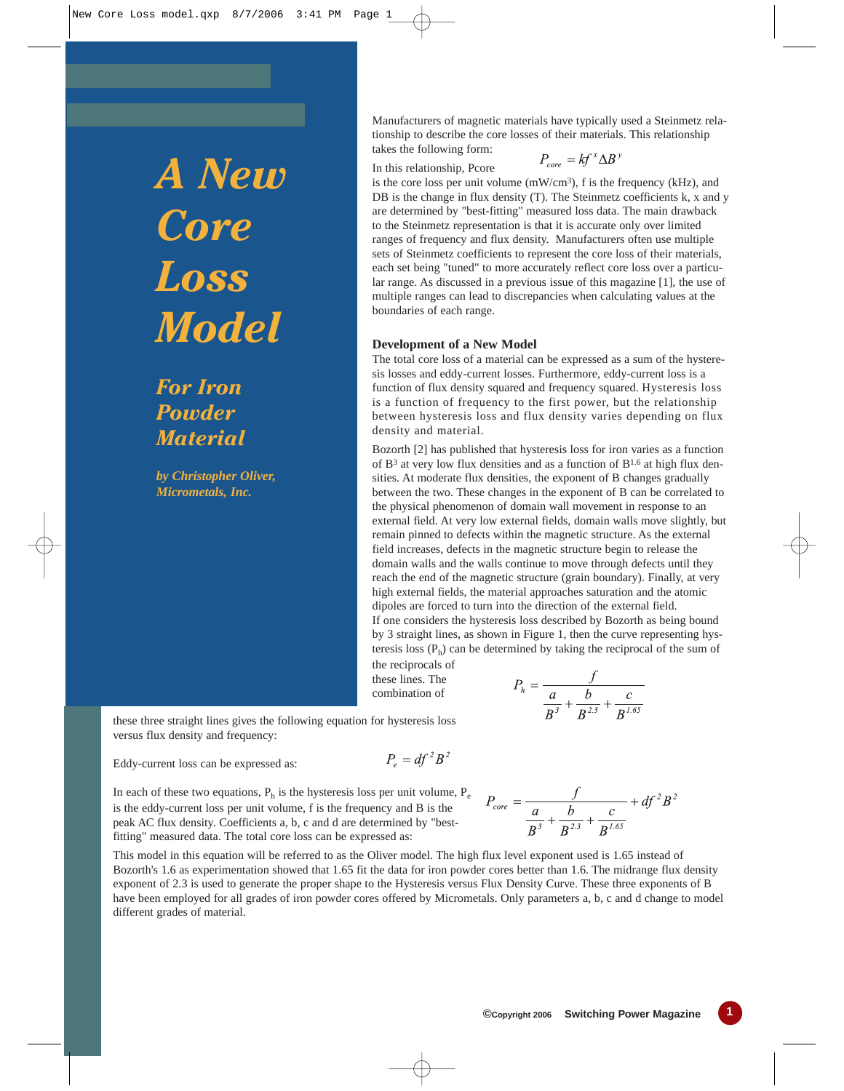*A New Core Loss Model*

*For Iron Powder Material*

*by Christopher Oliver, Micrometals, Inc.*

Manufacturers of magnetic materials have typically used a Steinmetz relationship to describe the core losses of their materials. This relationship takes the following form:

In this relationship, Pcore

$$
P_{core} = k f^x \Delta B^x
$$

is the core loss per unit volume (mW/cm3), f is the frequency (kHz), and DB is the change in flux density (T). The Steinmetz coefficients k, x and y are determined by "best-fitting" measured loss data. The main drawback to the Steinmetz representation is that it is accurate only over limited ranges of frequency and flux density. Manufacturers often use multiple sets of Steinmetz coefficients to represent the core loss of their materials, each set being "tuned" to more accurately reflect core loss over a particular range. As discussed in a previous issue of this magazine [1], the use of multiple ranges can lead to discrepancies when calculating values at the boundaries of each range.

## **Development of a New Model**

The total core loss of a material can be expressed as a sum of the hysteresis losses and eddy-current losses. Furthermore, eddy-current loss is a function of flux density squared and frequency squared. Hysteresis loss is a function of frequency to the first power, but the relationship between hysteresis loss and flux density varies depending on flux density and material.

Bozorth [2] has published that hysteresis loss for iron varies as a function of  $B<sup>3</sup>$  at very low flux densities and as a function of  $B<sup>1.6</sup>$  at high flux densities. At moderate flux densities, the exponent of B changes gradually between the two. These changes in the exponent of B can be correlated to the physical phenomenon of domain wall movement in response to an external field. At very low external fields, domain walls move slightly, but remain pinned to defects within the magnetic structure. As the external field increases, defects in the magnetic structure begin to release the domain walls and the walls continue to move through defects until they reach the end of the magnetic structure (grain boundary). Finally, at very high external fields, the material approaches saturation and the atomic dipoles are forced to turn into the direction of the external field. If one considers the hysteresis loss described by Bozorth as being bound by 3 straight lines, as shown in Figure 1, then the curve representing hysteresis loss  $(P_h)$  can be determined by taking the reciprocal of the sum of the reciprocals of

these lines. The combination of

$$
P_h = \frac{f}{\frac{a}{B^3} + \frac{b}{B^{2.3}} + \frac{c}{B^{1.65}}}
$$

these three straight lines gives the following equation for hysteresis loss versus flux density and frequency:

Eddy-current loss can be expressed as:

$$
P_e = df^2 B^2
$$

In each of these two equations,  $P_h$  is the hysteresis loss per unit volume,  $P_e$ is the eddy-current loss per unit volume, f is the frequency and B is the peak AC flux density. Coefficients a, b, c and d are determined by "bestfitting" measured data. The total core loss can be expressed as:

 $P_{core} = \frac{f}{\frac{a}{B^3} + \frac{b}{B^{2.3}} + \frac{c}{B^{1.65}}} + df^2 B^2$ 

This model in this equation will be referred to as the Oliver model. The high flux level exponent used is 1.65 instead of Bozorth's 1.6 as experimentation showed that 1.65 fit the data for iron powder cores better than 1.6. The midrange flux density exponent of 2.3 is used to generate the proper shape to the Hysteresis versus Flux Density Curve. These three exponents of B have been employed for all grades of iron powder cores offered by Micrometals. Only parameters a, b, c and d change to model different grades of material.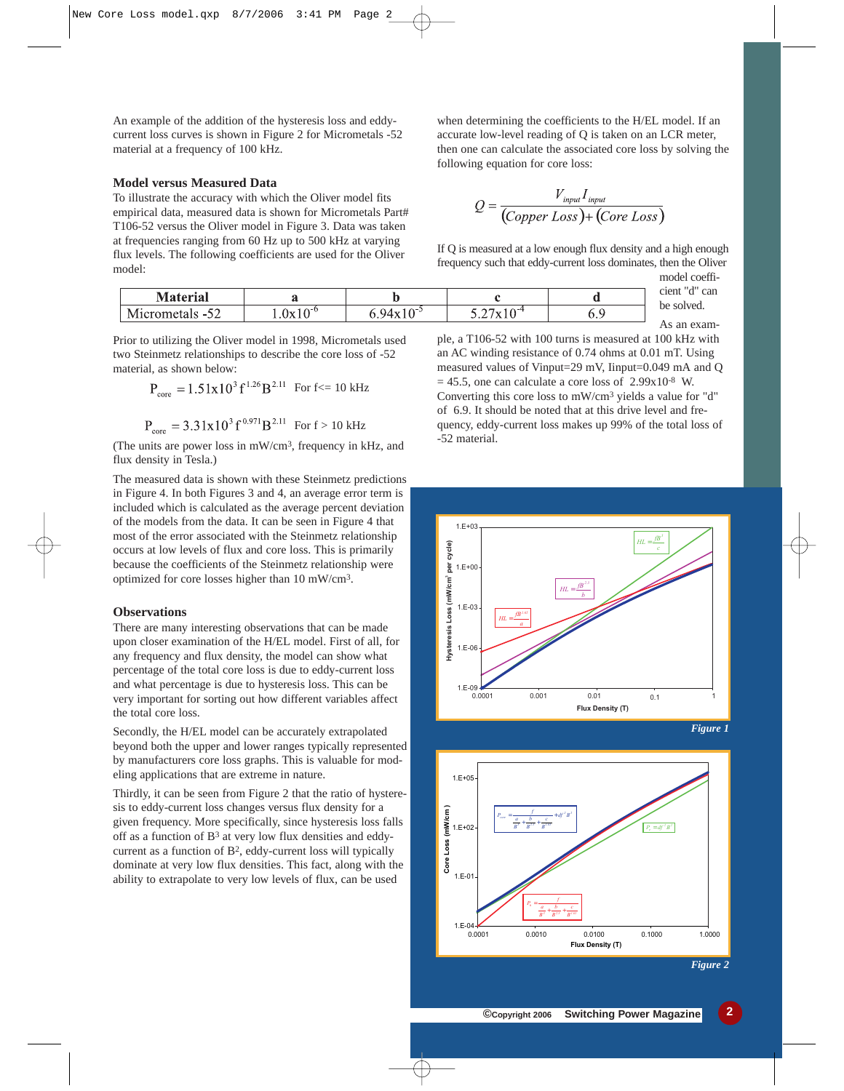An example of the addition of the hysteresis loss and eddycurrent loss curves is shown in Figure 2 for Micrometals -52 material at a frequency of 100 kHz.

## **Model versus Measured Data**

To illustrate the accuracy with which the Oliver model fits empirical data, measured data is shown for Micrometals Part# T106-52 versus the Oliver model in Figure 3. Data was taken at frequencies ranging from 60 Hz up to 500 kHz at varying flux levels. The following coefficients are used for the Oliver model:

| <b>Material</b>                        |                     | w                          |                                | $\cdot$ cient " $\cdot$ "<br>can |
|----------------------------------------|---------------------|----------------------------|--------------------------------|----------------------------------|
| $\sim$ $\sim$<br>Micrometals -5<br>ے ت | $10^{\circ}$<br>.0x | ⊢∧~:<br>94x<br>. U<br>TA L | $10-4$<br>$\sim$ $\sim$<br>`xz | be solved.                       |
|                                        |                     |                            |                                | As an exam-                      |

Prior to utilizing the Oliver model in 1998, Micrometals used two Steinmetz relationships to describe the core loss of -52 material, as shown below:

$$
P_{\text{core}} = 1.51 \times 10^3 \text{ f}^{1.26} \text{B}^{2.11} \text{ For f} \le 10 \text{ kHz}
$$

$$
P_{\text{core}} = 3.31x10^3 f^{0.971} B^{2.11}
$$
 For f > 10 kHz

(The units are power loss in mW/cm3, frequency in kHz, and flux density in Tesla.)

The measured data is shown with these Steinmetz predictions in Figure 4. In both Figures 3 and 4, an average error term is included which is calculated as the average percent deviation of the models from the data. It can be seen in Figure 4 that most of the error associated with the Steinmetz relationship occurs at low levels of flux and core loss. This is primarily because the coefficients of the Steinmetz relationship were optimized for core losses higher than 10 mW/cm3.

## **Observations**

There are many interesting observations that can be made upon closer examination of the H/EL model. First of all, for any frequency and flux density, the model can show what percentage of the total core loss is due to eddy-current loss and what percentage is due to hysteresis loss. This can be very important for sorting out how different variables affect the total core loss.

Secondly, the H/EL model can be accurately extrapolated beyond both the upper and lower ranges typically represented by manufacturers core loss graphs. This is valuable for modeling applications that are extreme in nature.

Thirdly, it can be seen from Figure 2 that the ratio of hysteresis to eddy-current loss changes versus flux density for a given frequency. More specifically, since hysteresis loss falls off as a function of B3 at very low flux densities and eddycurrent as a function of B2, eddy-current loss will typically dominate at very low flux densities. This fact, along with the ability to extrapolate to very low levels of flux, can be used

when determining the coefficients to the H/EL model. If an accurate low-level reading of Q is taken on an LCR meter, then one can calculate the associated core loss by solving the following equation for core loss:

$$
Q = \frac{V_{input}I_{input}}{(Copper Loss) + (Core Loss)}
$$

If Q is measured at a low enough flux density and a high enough frequency such that eddy-current loss dominates, then the Oliver

model coefficient "d" can

ple, a T106-52 with 100 turns is measured at 100 kHz with an AC winding resistance of 0.74 ohms at 0.01 mT. Using measured values of Vinput=29 mV, Iinput=0.049 mA and Q  $= 45.5$ , one can calculate a core loss of 2.99x10<sup>-8</sup> W. Converting this core loss to mW/cm3 yields a value for "d" of 6.9. It should be noted that at this drive level and frequency, eddy-current loss makes up 99% of the total loss of -52 material.







*Figure 2*